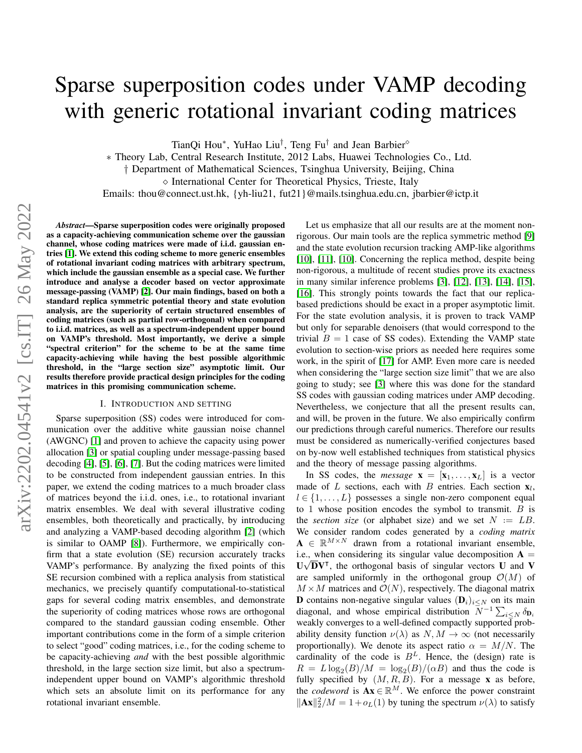# Sparse superposition codes under VAMP decoding with generic rotational invariant coding matrices

TianQi Hou\*, YuHao Liu<sup>†</sup>, Teng Fu<sup>†</sup> and Jean Barbier<sup>◇</sup>

∗ Theory Lab, Central Research Institute, 2012 Labs, Huawei Technologies Co., Ltd.

† Department of Mathematical Sciences, Tsinghua University, Beijing, China

 $\diamond$  International Center for Theoretical Physics, Trieste, Italy

Emails: thou@connect.ust.hk, {yh-liu21, fut21}@mails.tsinghua.edu.cn, jbarbier@ictp.it

*Abstract*—Sparse superposition codes were originally proposed as a capacity-achieving communication scheme over the gaussian channel, whose coding matrices were made of i.i.d. gaussian entries [\[1\]](#page-5-0). We extend this coding scheme to more generic ensembles of rotational invariant coding matrices with arbitrary spectrum, which include the gaussian ensemble as a special case. We further introduce and analyse a decoder based on vector approximate message-passing (VAMP) [\[2\]](#page-5-1). Our main findings, based on both a standard replica symmetric potential theory and state evolution analysis, are the superiority of certain structured ensembles of coding matrices (such as partial row-orthogonal) when compared to i.i.d. matrices, as well as a spectrum-independent upper bound on VAMP's threshold. Most importantly, we derive a simple "spectral criterion" for the scheme to be at the same time capacity-achieving while having the best possible algorithmic threshold, in the "large section size" asymptotic limit. Our results therefore provide practical design principles for the coding matrices in this promising communication scheme.

#### I. INTRODUCTION AND SETTING

Sparse superposition (SS) codes were introduced for communication over the additive white gaussian noise channel (AWGNC) [\[1\]](#page-5-0) and proven to achieve the capacity using power allocation [\[3\]](#page-5-2) or spatial coupling under message-passing based decoding [\[4\]](#page-5-3), [\[5\]](#page-5-4), [\[6\]](#page-5-5), [\[7\]](#page-5-6). But the coding matrices were limited to be constructed from independent gaussian entries. In this paper, we extend the coding matrices to a much broader class of matrices beyond the i.i.d. ones, i.e., to rotational invariant matrix ensembles. We deal with several illustrative coding ensembles, both theoretically and practically, by introducing and analyzing a VAMP-based decoding algorithm [\[2\]](#page-5-1) (which is similar to OAMP [\[8\]](#page-5-7)). Furthermore, we empirically confirm that a state evolution (SE) recursion accurately tracks VAMP's performance. By analyzing the fixed points of this SE recursion combined with a replica analysis from statistical mechanics, we precisely quantify computational-to-statistical gaps for several coding matrix ensembles, and demonstrate the superiority of coding matrices whose rows are orthogonal compared to the standard gaussian coding ensemble. Other important contributions come in the form of a simple criterion to select "good" coding matrices, i.e., for the coding scheme to be capacity-achieving *and* with the best possible algorithmic threshold, in the large section size limit, but also a spectrumindependent upper bound on VAMP's algorithmic threshold which sets an absolute limit on its performance for any rotational invariant ensemble.

Let us emphasize that all our results are at the moment nonrigorous. Our main tools are the replica symmetric method [\[9\]](#page-5-8) and the state evolution recursion tracking AMP-like algorithms [\[10\]](#page-5-9), [\[11\]](#page-5-10), [10]. Concerning the replica method, despite being non-rigorous, a multitude of recent studies prove its exactness in many similar inference problems [\[3\]](#page-5-2), [\[12\]](#page-5-11), [\[13\]](#page-5-12), [\[14\]](#page-5-13), [\[15\]](#page-5-14), [\[16\]](#page-5-15). This strongly points towards the fact that our replicabased predictions should be exact in a proper asymptotic limit. For the state evolution analysis, it is proven to track VAMP but only for separable denoisers (that would correspond to the trivial  $B = 1$  case of SS codes). Extending the VAMP state evolution to section-wise priors as needed here requires some work, in the spirit of [\[17\]](#page-5-16) for AMP. Even more care is needed when considering the "large section size limit" that we are also going to study; see [\[3\]](#page-5-2) where this was done for the standard SS codes with gaussian coding matrices under AMP decoding. Nevertheless, we conjecture that all the present results can, and will, be proven in the future. We also empirically confirm our predictions through careful numerics. Therefore our results must be considered as numerically-verified conjectures based on by-now well established techniques from statistical physics and the theory of message passing algorithms.

In SS codes, the *message*  $\mathbf{x} = [\mathbf{x}_1, \dots, \mathbf{x}_L]$  is a vector made of L sections, each with B entries. Each section  $\mathbf{x}_l$ ,  $l \in \{1, \ldots, L\}$  possesses a single non-zero component equal to 1 whose position encodes the symbol to transmit.  $B$  is the *section size* (or alphabet size) and we set  $N := LB$ . We consider random codes generated by a *coding matrix*  $A \in \mathbb{R}^{M \times N}$  drawn from a rotational invariant ensemble, i.e., when considering its singular value decomposition  $A =$  $U\sqrt{D}V^{\dagger}$ , the orthogonal basis of singular vectors U and V are sampled uniformly in the orthogonal group  $\mathcal{O}(M)$  of  $M \times M$  matrices and  $\mathcal{O}(N)$ , respectively. The diagonal matrix **D** contains non-negative singular values  $(D_i)_{i\leq N}$  on its main diagonal, and whose empirical distribution  $N^{-1} \sum_{i \leq N} \delta_{\mathbf{D}_i}$ weakly converges to a well-defined compactly supported probability density function  $\nu(\lambda)$  as  $N, M \to \infty$  (not necessarily proportionally). We denote its aspect ratio  $\alpha = M/N$ . The cardinality of the code is  $B<sup>L</sup>$ . Hence, the (design) rate is  $R = L \log_2(B)/M = \log_2(B)/(\alpha B)$  and thus the code is fully specified by  $(M, R, B)$ . For a message **x** as before, the *codeword* is  $\mathbf{A}\mathbf{x} \in \mathbb{R}^M$ . We enforce the power constraint  $\|\mathbf{Ax}\|_2^2/M = 1 + o_L(1)$  by tuning the spectrum  $\nu(\lambda)$  to satisfy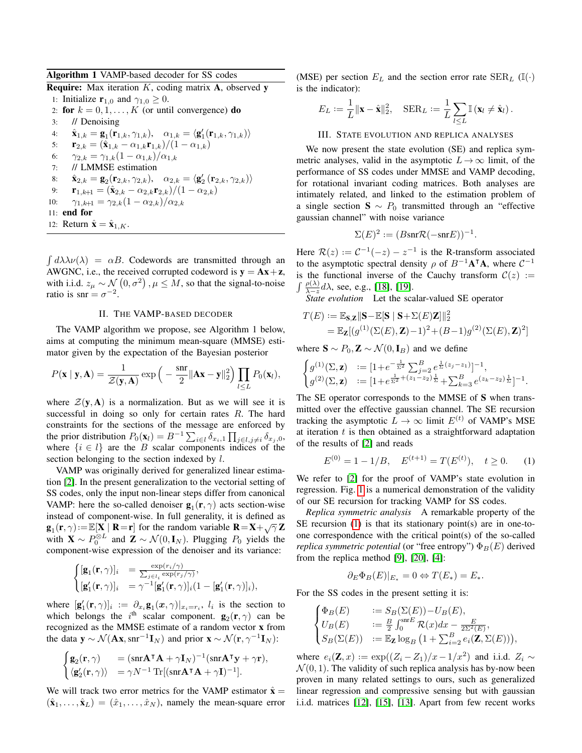|  |  | Algorithm 1 VAMP-based decoder for SS codes |  |  |  |  |
|--|--|---------------------------------------------|--|--|--|--|
|--|--|---------------------------------------------|--|--|--|--|

**Require:** Max iteration  $K$ , coding matrix  $A$ , observed y

1: Initialize  $\mathbf{r}_{1,0}$  and  $\gamma_{1,0} \geq 0$ . 2: for  $k = 0, 1, \ldots, K$  (or until convergence) do 3: // Denoising 4:  $\hat{\mathbf{x}}_{1,k} = \mathbf{g}_1(\mathbf{r}_{1,k}, \gamma_{1,k}), \quad \alpha_{1,k} = \langle \mathbf{g}_1'(\mathbf{r}_{1,k}, \gamma_{1,k}) \rangle$ 5:  $\mathbf{r}_{2,k} = (\hat{\mathbf{x}}_{1,k} - \alpha_{1,k}\mathbf{r}_{1,k})/(1 - \alpha_{1,k})$ 6:  $\gamma_{2,k} = \gamma_{1,k}(1-\alpha_{1,k})/\alpha_{1,k}$ 7: // LMMSE estimation 8:  $\hat{\mathbf{x}}_{2,k} = \mathbf{g}_2(\mathbf{r}_{2,k}, \gamma_{2,k}), \quad \alpha_{2,k} = \langle \mathbf{g}_2'(\mathbf{r}_{2,k}, \gamma_{2,k}) \rangle$ 9:  $\mathbf{r}_{1,k+1} = (\hat{\mathbf{x}}_{2,k} - \alpha_{2,k} \mathbf{r}_{2,k})/(1 - \alpha_{2,k})$ 10:  $\gamma_{1,k+1} = \gamma_{2,k}(1-\alpha_{2,k})/\alpha_{2,k}$ 11: end for 12: Return  $\hat{\mathbf{x}} = \hat{\mathbf{x}}_{1,K}$ .

 $\int d\lambda \lambda \nu(\lambda) = \alpha B$ . Codewords are transmitted through an AWGNC, i.e., the received corrupted codeword is  $y = Ax + z$ , with i.i.d.  $z_{\mu} \sim \mathcal{N}(0, \sigma^2)$ ,  $\mu \leq M$ , so that the signal-to-noise ratio is snr =  $\sigma^{-2}$ .

## II. THE VAMP-BASED DECODER

The VAMP algorithm we propose, see Algorithm 1 below, aims at computing the minimum mean-square (MMSE) estimator given by the expectation of the Bayesian posterior

$$
P(\mathbf{x} \mid \mathbf{y}, \mathbf{A}) = \frac{1}{\mathcal{Z}(\mathbf{y}, \mathbf{A})} \exp\left(-\frac{\operatorname{snr}}{2} \|\mathbf{A}\mathbf{x} - \mathbf{y}\|_2^2\right) \prod_{l \leq L} P_0(\mathbf{x}_l),
$$

where  $\mathcal{Z}(\mathbf{y}, \mathbf{A})$  is a normalization. But as we will see it is successful in doing so only for certain rates R. The hard constraints for the sections of the message are enforced by the prior distribution  $P_0(\mathbf{x}_l) = B^{-1} \sum_{i \in l} \delta_{x_i,1} \prod_{j \in l, j \neq i} \delta_{x_j,0}$ , where  $\{i \in l\}$  are the B scalar components indices of the section belonging to the section indexed by l.

VAMP was originally derived for generalized linear estimation [\[2\]](#page-5-1). In the present generalization to the vectorial setting of SS codes, only the input non-linear steps differ from canonical VAMP: here the so-called denoiser  $\mathbf{g}_1(\mathbf{r}, \gamma)$  acts section-wise instead of component-wise. In full generality, it is defined as  $\mathbf{g}_1(\mathbf{r}, \gamma) := \mathbb{E}[\mathbf{X} \mid \mathbf{R} = \mathbf{r}]$  for the random variable  $\mathbf{R} = \mathbf{X} + \sqrt{\gamma} \mathbf{Z}$ with  $\mathbf{X} \sim P_0^{\otimes L}$  and  $\mathbf{Z} \sim \mathcal{N}(0, \mathbf{I}_N)$ . Plugging  $P_0$  yields the component-wise expression of the denoiser and its variance:

$$
\begin{cases}\n[\mathbf{g}_1(\mathbf{r}, \gamma)]_i = \frac{\exp(r_i/\gamma)}{\sum_{j \in l_i} \exp(r_j/\gamma)},\\ \n[\mathbf{g}'_1(\mathbf{r}, \gamma)]_i = \gamma^{-1}[\mathbf{g}'_1(\mathbf{r}, \gamma)]_i(1 - [\mathbf{g}'_1(\mathbf{r}, \gamma)]_i),\n\end{cases}
$$

where  $[g'_1(\mathbf{r}, \gamma)]_i := \partial_{x_i} g_1(\mathbf{x}, \gamma)|_{x_i = r_i}, l_i$  is the section to which belongs the i<sup>th</sup> scalar component.  $\mathbf{g}_2(\mathbf{r}, \gamma)$  can be recognized as the MMSE estimate of a random vector x from the data  $y \sim \mathcal{N}(\mathbf{A}\mathbf{x}, \text{snr}^{-1}\mathbf{I}_N)$  and prior  $\mathbf{x} \sim \mathcal{N}(\mathbf{r}, \gamma^{-1}\mathbf{I}_N)$ :

$$
\begin{cases} \mathbf{g}_2(\mathbf{r},\gamma) &= (\mathrm{snr}\mathbf{A}^\intercal\mathbf{A} + \gamma \mathbf{I}_N)^{-1}(\mathrm{snr}\mathbf{A}^\intercal\mathbf{y} + \gamma \mathbf{r}),\\ \langle \mathbf{g}_2'(\mathbf{r},\gamma)\rangle &= \gamma N^{-1}\operatorname{Tr}[(\mathrm{snr}\mathbf{A}^\intercal\mathbf{A} + \gamma \mathbf{I})^{-1}]. \end{cases}
$$

We will track two error metrics for the VAMP estimator  $\hat{x} =$  $(\hat{\mathbf{x}}_1, \dots, \hat{\mathbf{x}}_L) = (\hat{x}_1, \dots, \hat{x}_N)$ , namely the mean-square error

(MSE) per section  $E_L$  and the section error rate  $\text{SER}_L$  (I(·) is the indicator):

$$
E_L := \frac{1}{L} ||\mathbf{x} - \hat{\mathbf{x}}||_2^2, \quad \text{SER}_L := \frac{1}{L} \sum_{l \leq L} \mathbb{I} \left( \mathbf{x}_l \neq \hat{\mathbf{x}}_l \right).
$$

#### III. STATE EVOLUTION AND REPLICA ANALYSES

We now present the state evolution (SE) and replica symmetric analyses, valid in the asymptotic  $L \rightarrow \infty$  limit, of the performance of SS codes under MMSE and VAMP decoding, for rotational invariant coding matrices. Both analyses are intimately related, and linked to the estimation problem of a single section  $S \sim P_0$  transmitted through an "effective gaussian channel" with noise variance

$$
\Sigma(E)^2 := (B\text{snr}\mathcal{R}(-\text{snr}E))^{-1}
$$

.

Here  $\mathcal{R}(z) := \mathcal{C}^{-1}(-z) - z^{-1}$  is the R-transform associated to the asymptotic spectral density  $\rho$  of  $B^{-1}A^{T}A$ , where  $C^{-1}$ is the functional inverse of the Cauchy transform  $C(z) :=$  $\int \frac{\rho(\lambda)}{\lambda - z} d\lambda$ , see, e.g., [\[18\]](#page-5-17), [\[19\]](#page-5-18).

*State evolution* Let the scalar-valued SE operator

$$
\begin{aligned} T(E) &:= \mathbb{E}_{\mathbf{S},\mathbf{Z}}\|\mathbf{S} - \mathbb{E}[\mathbf{S} \mid \mathbf{S} + \Sigma(E)\mathbf{Z}]\|_2^2 \\ & = \mathbb{E}_{\mathbf{Z}}[(g^{(1)}(\Sigma(E),\mathbf{Z}) - 1)^2 + (B-1)g^{(2)}(\Sigma(E),\mathbf{Z})^2] \end{aligned}
$$

where  $\mathbf{S} \sim P_0$ ,  $\mathbf{Z} \sim \mathcal{N}(0, \mathbf{I}_B)$  and we define

$$
\begin{cases}\ng^{(1)}(\Sigma, \mathbf{z}) &:= [1 + e^{-\frac{1}{\Sigma^2}} \sum_{j=2}^B e^{\frac{1}{\Sigma}(z_j - z_1)}]^{-1}, \\
g^{(2)}(\Sigma, \mathbf{z}) &:= [1 + e^{\frac{1}{\Sigma^2} + (z_1 - z_2)\frac{1}{\Sigma}} + \sum_{k=3}^B e^{(z_k - z_2)\frac{1}{\Sigma}}]^{-1}.\n\end{cases}
$$

The SE operator corresponds to the MMSE of S when transmitted over the effective gaussian channel. The SE recursion tracking the asymptotic  $L \to \infty$  limit  $E^{(t)}$  of VAMP's MSE at iteration  $t$  is then obtained as a straightforward adaptation of the results of [\[2\]](#page-5-1) and reads

<span id="page-1-0"></span>
$$
E^{(0)} = 1 - 1/B, \quad E^{(t+1)} = T(E^{(t)}), \quad t \ge 0. \tag{1}
$$

We refer to [\[2\]](#page-5-1) for the proof of VAMP's state evolution in regression. Fig. [1](#page-2-0) is a numerical demonstration of the validity of our SE recursion for tracking VAMP for SS codes.

*Replica symmetric analysis* A remarkable property of the  $SE$  recursion [\(1\)](#page-1-0) is that its stationary point(s) are in one-toone correspondence with the critical point(s) of the so-called *replica symmetric potential* (or "free entropy")  $\Phi_B(E)$  derived from the replica method [\[9\]](#page-5-8), [\[20\]](#page-5-19), [\[4\]](#page-5-3):

$$
\partial_E \Phi_B(E)|_{E_*} = 0 \Leftrightarrow T(E_*) = E_*.
$$

For the SS codes in the present setting it is:

$$
\begin{cases} \Phi_B(E) &:= S_B(\Sigma(E)) - U_B(E), \\ U_B(E) &:= \frac{B}{2} \int_0^{\text{snf}E} \mathcal{R}(x) dx - \frac{E}{2\Sigma^2(E)}, \\ S_B(\Sigma(E)) &:= \mathbb{E}_{\mathbf{Z}} \log_B \left( 1 + \sum_{i=2}^B e_i(\mathbf{Z}, \Sigma(E)) \right), \end{cases}
$$

where  $e_i(\mathbf{Z}, x) := \exp((Z_i - Z_1)/x - 1/x^2)$  and i.i.d.  $Z_i \sim$  $\mathcal{N}(0, 1)$ . The validity of such replica analysis has by-now been proven in many related settings to ours, such as generalized linear regression and compressive sensing but with gaussian i.i.d. matrices [\[12\]](#page-5-11), [\[15\]](#page-5-14), [\[13\]](#page-5-12). Apart from few recent works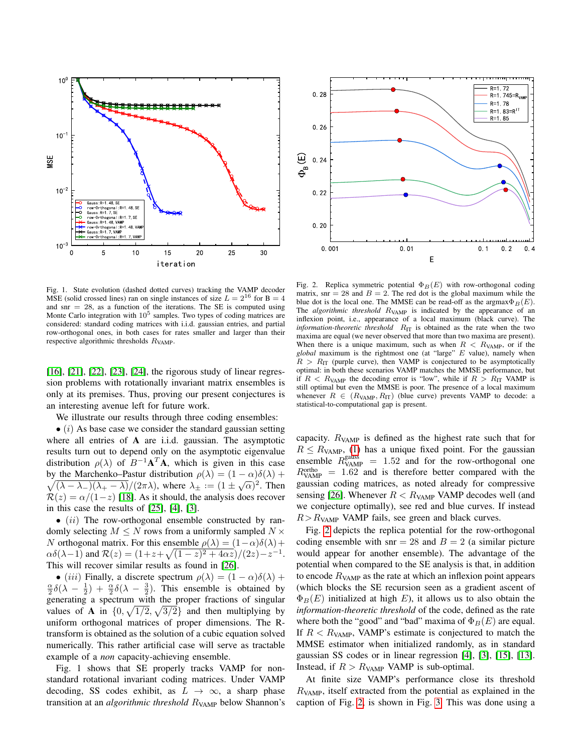

<span id="page-2-0"></span>Fig. 1. State evolution (dashed dotted curves) tracking the VAMP decoder MSE (solid crossed lines) ran on single instances of size  $L = 2^{16}$  for  $B = 4$ and snr  $= 28$ , as a function of the iterations. The SE is computed using Monte Carlo integration with  $10^5$  samples. Two types of coding matrices are considered: standard coding matrices with i.i.d. gaussian entries, and partial row-orthogonal ones, in both cases for rates smaller and larger than their respective algorithmic thresholds  $R_{VAMP}$ .

[\[16\]](#page-5-15), [\[21\]](#page-5-20), [\[22\]](#page-5-21), [\[23\]](#page-5-22), [\[24\]](#page-5-23), the rigorous study of linear regression problems with rotationally invariant matrix ensembles is only at its premises. Thus, proving our present conjectures is an interesting avenue left for future work.

We illustrate our results through three coding ensembles:

 $\bullet$  (i) As base case we consider the standard gaussian setting where all entries of A are i.i.d. gaussian. The asymptotic results turn out to depend only on the asymptotic eigenvalue distribution  $\rho(\lambda)$  of  $B^{-1}A^T A$ , which is given in this case  $\sqrt{(\lambda - \lambda_-)(\lambda_+ - \lambda)}/(2\pi\lambda)$ , where  $\lambda_{\pm} := (1 \pm \sqrt{\alpha})^2$ . Then by the Marchenko–Pastur distribution  $\rho(\lambda) = (1 - \alpha)\delta(\lambda) +$  $\mathcal{R}(z) = \alpha/(1-z)$  [\[18\]](#page-5-17). As it should, the analysis does recover in this case the results of [\[25\]](#page-5-24), [\[4\]](#page-5-3), [\[3\]](#page-5-2).

 $\bullet$  (ii) The row-orthogonal ensemble constructed by randomly selecting  $M \leq N$  rows from a uniformly sampled  $N \times$ N orthogonal matrix. For this ensemble  $\rho(\lambda) = (1-\alpha)\delta(\lambda) +$  $\alpha\delta(\lambda-1)$  and  $\mathcal{R}(z) = (1+z+\sqrt{(1-z)^2+4\alpha z})/(2z)-z^{-1}$ . This will recover similar results as found in [\[26\]](#page-5-25).

• (iii) Finally, a discrete spectrum  $\rho(\lambda) = (1 - \alpha)\delta(\lambda) +$  $\frac{\alpha}{2}\delta(\lambda - \frac{1}{2}) + \frac{\alpha}{2}\delta(\lambda - \frac{3}{2})$ . This ensemble is obtained by generating a spectrum with the proper fractions of singular values of **A** in  $\{0, \sqrt{1/2}, \sqrt{3/2}\}$  and then multiplying by uniform orthogonal matrices of proper dimensions. The Rtransform is obtained as the solution of a cubic equation solved numerically. This rather artificial case will serve as tractable example of a *non* capacity-achieving ensemble.

Fig. 1 shows that SE properly tracks VAMP for nonstandard rotational invariant coding matrices. Under VAMP decoding, SS codes exhibit, as  $L \rightarrow \infty$ , a sharp phase transition at an *algorithmic threshold* R<sub>VAMP</sub> below Shannon's



<span id="page-2-1"></span>Fig. 2. Replica symmetric potential  $\Phi_B(E)$  with row-orthogonal coding matrix, snr  $= 28$  and  $B = 2$ . The red dot is the global maximum while the blue dot is the local one. The MMSE can be read-off as the argmax $\Phi_B(E)$ . The *algorithmic threshold* R<sub>VAMP</sub> is indicated by the appearance of an inflexion point, i.e., appearance of a local maximum (black curve). The *information-theoretic threshold*  $R_{IT}$  is obtained as the rate when the two maxima are equal (we never observed that more than two maxima are present). When there is a unique maximum, such as when  $R < R_{VAMP}$ , or if the *global* maximum is the rightmost one (at "large" E value), namely when  $R > R_{\text{IT}}$  (purple curve), then VAMP is conjectured to be asymptotically optimal: in both these scenarios VAMP matches the MMSE performance, but if  $R < R_{VAMP}$  the decoding error is "low", while if  $R > R_{IT}$  VAMP is still optimal but even the MMSE is poor. The presence of a local maximum whenever  $R \in (R_{VAMP}, R_{IT})$  (blue curve) prevents VAMP to decode: a statistical-to-computational gap is present.

capacity.  $R_{VAMP}$  is defined as the highest rate such that for  $R \le R_{VAMP}$ , [\(1\)](#page-1-0) has a unique fixed point. For the gaussian ensemble  $R_{\text{VAMP}}^{\text{gauss}} = 1.52$  and for the row-orthogonal one  $R_{VAMP}^{ortho}$  = 1.62 and is therefore better compared with the gaussian coding matrices, as noted already for compressive sensing [\[26\]](#page-5-25). Whenever  $R < R_{VAMP}$  VAMP decodes well (and we conjecture optimally), see red and blue curves. If instead  $R > R_{VAMP}$  VAMP fails, see green and black curves.

Fig. [2](#page-2-1) depicts the replica potential for the row-orthogonal coding ensemble with snr = 28 and  $B = 2$  (a similar picture would appear for another ensemble). The advantage of the potential when compared to the SE analysis is that, in addition to encode  $R_{VAMP}$  as the rate at which an inflexion point appears (which blocks the SE recursion seen as a gradient ascent of  $\Phi_B(E)$  initialized at high E), it allows us to also obtain the *information-theoretic threshold* of the code, defined as the rate where both the "good" and "bad" maxima of  $\Phi_B(E)$  are equal. If  $R < R_{VAMP}$ , VAMP's estimate is conjectured to match the MMSE estimator when initialized randomly, as in standard gaussian SS codes or in linear regression [\[4\]](#page-5-3), [\[3\]](#page-5-2), [\[15\]](#page-5-14), [\[13\]](#page-5-12). Instead, if  $R > R_{VAMP}$  VAMP is sub-optimal.

At finite size VAMP's performance close its threshold  $R_{VAMP}$ , itself extracted from the potential as explained in the caption of Fig. [2,](#page-2-1) is shown in Fig. [3.](#page-3-0) This was done using a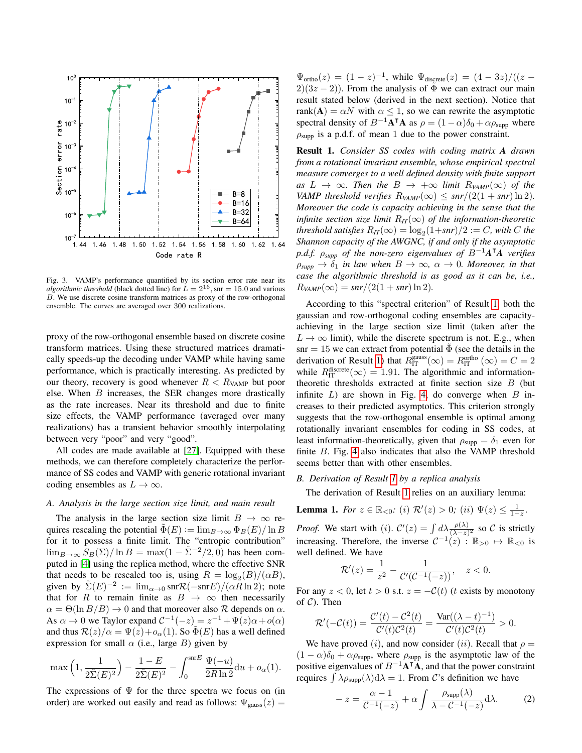

<span id="page-3-0"></span>Fig. 3. VAMP's performance quantified by its section error rate near its *algorithmic threshold* (black dotted line) for  $\dot{L} = 2^{16}$ , snr = 15.0 and various B. We use discrete cosine transform matrices as proxy of the row-orthogonal ensemble. The curves are averaged over 300 realizations.

proxy of the row-orthogonal ensemble based on discrete cosine transform matrices. Using these structured matrices dramatically speeds-up the decoding under VAMP while having same performance, which is practically interesting. As predicted by our theory, recovery is good whenever  $R < R_{VAMP}$  but poor else. When B increases, the SER changes more drastically as the rate increases. Near its threshold and due to finite size effects, the VAMP performance (averaged over many realizations) has a transient behavior smoothly interpolating between very "poor" and very "good".

All codes are made available at [\[27\]](#page-5-26). Equipped with these methods, we can therefore completely characterize the performance of SS codes and VAMP with generic rotational invariant coding ensembles as  $L \to \infty$ .

## *A. Analysis in the large section size limit, and main result*

The analysis in the large section size limit  $B \to \infty$  requires rescaling the potential  $\tilde{\Phi}(E) := \lim_{B \to \infty} \Phi_B(E) / \ln B$ for it to possess a finite limit. The "entropic contribution"  $\lim_{B\to\infty}$   $S_B(\Sigma)/\ln B = \max(1 - \tilde{\Sigma}^{-2}/2, 0)$  has been computed in [\[4\]](#page-5-3) using the replica method, where the effective SNR that needs to be rescaled too is, using  $R = \log_2(B)/(\alpha B)$ , given by  $\tilde{\Sigma}(E)^{-2} := \lim_{\alpha \to 0} \text{snr}\mathcal{R}(-\text{snr}E)/(\alpha R \ln 2)$ ; note that for R to remain finite as  $B \to \infty$  then necessarily  $\alpha = \Theta(\ln B/B) \rightarrow 0$  and that moreover also R depends on  $\alpha$ . As  $\alpha \to 0$  we Taylor expand  $C^{-1}(-z) = z^{-1} + \Psi(z)\alpha + o(\alpha)$ and thus  $\mathcal{R}(z)/\alpha = \Psi(z)+o_{\alpha}(1)$ . So  $\tilde{\Phi}(E)$  has a well defined expression for small  $\alpha$  (i.e., large B) given by

$$
\max\left(1,\frac{1}{2\tilde{\Sigma}(E)^2}\right) - \frac{1-E}{2\tilde{\Sigma}(E)^2} - \int_0^{\text{snr}E} \frac{\Psi(-u)}{2R\ln 2} \mathrm{d}u + o_\alpha(1).
$$

The expressions of  $\Psi$  for the three spectra we focus on (in order) are worked out easily and read as follows:  $\Psi_{\text{gauss}}(z) =$ 

 $\Psi_{\text{ortho}}(z) = (1-z)^{-1}$ , while  $\Psi_{\text{discrete}}(z) = (4-3z)/((z-z)$  $2(3z-2)$ ). From the analysis of  $\Phi$  we can extract our main result stated below (derived in the next section). Notice that rank(A) =  $\alpha N$  with  $\alpha \leq 1$ , so we can rewrite the asymptotic spectral density of  $B^{-1}A^{\dagger}A$  as  $\rho = (1 - \alpha)\delta_0 + \alpha \rho_{\text{supp}}$  where  $\rho_{\text{supp}}$  is a p.d.f. of mean 1 due to the power constraint.

<span id="page-3-1"></span>Result 1. *Consider SS codes with coding matrix A drawn from a rotational invariant ensemble, whose empirical spectral measure converges to a well defined density with finite support*  $as L \rightarrow \infty$ *. Then the*  $B \rightarrow +\infty$  *limit*  $R_{VAMP}(\infty)$  *of the VAMP threshold verifies*  $R_{VAMP}(\infty) \leq snr/(2(1+snr)\ln 2)$ . *Moreover the code is capacity achieving in the sense that the infinite section size limit*  $R_{IT}(\infty)$  *of the information-theoretic threshold satisfies*  $R_{IT}(\infty) = \log_2(1+snr)/2 := C$ *, with* C the *Shannon capacity of the AWGNC, if and only if the asymptotic p.d.f.* ρ*supp of the non-zero eigenvalues of* B−1*A* <sup>|</sup>*A verifies*  $\rho_{\text{supp}} \to \delta_1$  *in law when*  $B \to \infty$ ,  $\alpha \to 0$ *. Moreover, in that case the algorithmic threshold is as good as it can be, i.e.,*  $R_{VAMP}(\infty) = snr/(2(1+snr)\ln 2).$ 

According to this "spectral criterion" of Result [1,](#page-3-1) both the gaussian and row-orthogonal coding ensembles are capacityachieving in the large section size limit (taken after the  $L \rightarrow \infty$  limit), while the discrete spectrum is not. E.g., when snr = 15 we can extract from potential  $\tilde{\Phi}$  (see the details in the derivation of Result [1\)](#page-3-1) that  $R_{\text{IT}}^{\text{gauss}}(\infty) = R_{\text{IT}}^{\text{ortho}}(\infty) = C = 2$ while  $R_{\text{IT}}^{\text{discrete}}(\infty) = 1.91$ . The algorithmic and informationtheoretic thresholds extracted at finite section size B (but infinite  $L$ ) are shown in Fig. [4,](#page-4-0) do converge when  $B$  increases to their predicted asymptotics. This criterion strongly suggests that the row-orthogonal ensemble is optimal among rotationally invariant ensembles for coding in SS codes, at least information-theoretically, given that  $\rho_{\text{supp}} = \delta_1$  even for finite B. Fig. [4](#page-4-0) also indicates that also the VAMP threshold seems better than with other ensembles.

### *B. Derivation of Result [1](#page-3-1) by a replica analysis*

The derivation of Result [1](#page-3-1) relies on an auxiliary lemma:

<span id="page-3-3"></span>**Lemma 1.** *For*  $z \in \mathbb{R}_{<0}$ : (*i*)  $\mathcal{R}'(z) > 0$ ; (*ii*)  $\Psi(z) \leq \frac{1}{1-z}$ .

*Proof.* We start with (*i*).  $C'(z) = \int d\lambda \frac{\rho(\lambda)}{(\lambda - z)^2}$  so C is strictly increasing. Therefore, the inverse  $C^{-1}(z)$ :  $\mathbb{R}_{>0} \mapsto \mathbb{R}_{<0}$  is well defined. We have

$$
\mathcal{R}'(z) = \frac{1}{z^2} - \frac{1}{\mathcal{C}'(\mathcal{C}^{-1}(-z))}, \quad z < 0.
$$

For any  $z < 0$ , let  $t > 0$  s.t.  $z = -C(t)$  (*t* exists by monotony of  $C$ ). Then

$$
\mathcal{R}'(-\mathcal{C}(t)) = \frac{\mathcal{C}'(t) - \mathcal{C}^2(t)}{\mathcal{C}'(t)\mathcal{C}^2(t)} = \frac{\text{Var}((\lambda - t)^{-1})}{\mathcal{C}'(t)\mathcal{C}^2(t)} > 0.
$$

We have proved (i), and now consider (ii). Recall that  $\rho =$  $(1 - \alpha)\delta_0 + \alpha \rho_{\text{supp}}$ , where  $\rho_{\text{supp}}$  is the asymptotic law of the positive eigenvalues of  $B^{-1}\mathbf{A}^\mathsf{T}\mathbf{A}$ , and that the power constraint requires  $\int \lambda \rho_{\text{supp}}(\lambda) d\lambda = 1$ . From C's definition we have

<span id="page-3-2"></span>
$$
-z = \frac{\alpha - 1}{\mathcal{C}^{-1}(-z)} + \alpha \int \frac{\rho_{\text{supp}}(\lambda)}{\lambda - \mathcal{C}^{-1}(-z)} d\lambda.
$$
 (2)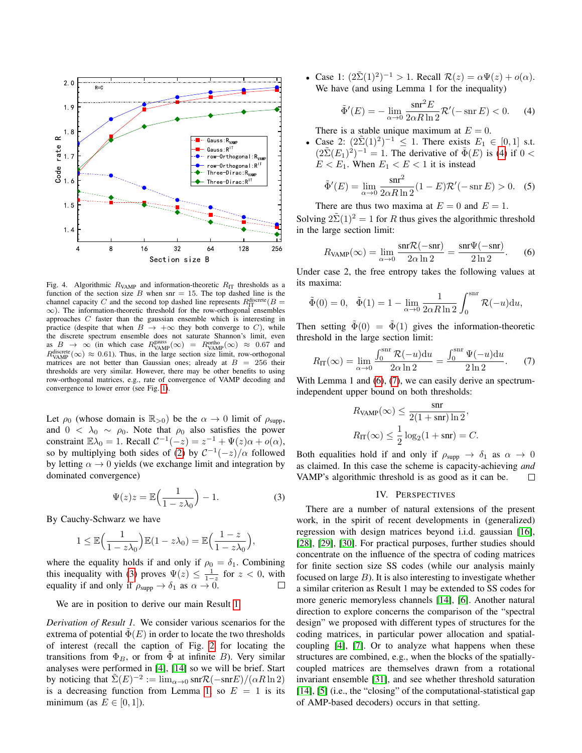

<span id="page-4-0"></span>Fig. 4. Algorithmic  $R_{VAMP}$  and information-theoretic  $R_{IT}$  thresholds as a function of the section size B when snr = 15. The top dashed line is the channel capacity C and the second top dashed line represents  $R_{\text{IT}}^{\text{discrete}}(B=$ ∞). The information-theoretic threshold for the row-orthogonal ensembles approaches C faster than the gaussian ensemble which is interesting in practice (despite that when  $B \to +\infty$  they both converge to C), while the discrete spectrum ensemble does not saturate Shannon's limit, even as  $B \to \infty$  (in which case  $R_{VAMP}^{gauss}(\infty) = R_{VAMP}^{ortho}(\infty) \approx 0.67$  and  $R_{VAMP}^{discrete}(\infty) \approx 0.61$ ). Thus, in the large section size limit, row-orthogonal matrices are not better than Gaussian ones; already at  $B = 256$  their thresholds are very similar. However, there may be other benefits to using row-orthogonal matrices, e.g., rate of convergence of VAMP decoding and convergence to lower error (see Fig. [1\)](#page-2-0).

Let  $\rho_0$  (whose domain is  $\mathbb{R}_{>0}$ ) be the  $\alpha \to 0$  limit of  $\rho_{\text{supp}}$ , and  $0 < \lambda_0 \sim \rho_0$ . Note that  $\rho_0$  also satisfies the power constraint  $\mathbb{E}\lambda_0 = 1$ . Recall  $C^{-1}(-z) = z^{-1} + \Psi(z)\alpha + o(\alpha)$ , so by multiplying both sides of [\(2\)](#page-3-2) by  $C^{-1}(-z)/\alpha$  followed by letting  $\alpha \rightarrow 0$  yields (we exchange limit and integration by dominated convergence)

<span id="page-4-1"></span>
$$
\Psi(z)z = \mathbb{E}\left(\frac{1}{1 - z\lambda_0}\right) - 1.
$$
\n(3)

By Cauchy-Schwarz we have

$$
1 \leq \mathbb{E}\Big(\frac{1}{1-z\lambda_0}\Big)\mathbb{E}(1-z\lambda_0)=\mathbb{E}\Big(\frac{1-z}{1-z\lambda_0}\Big),
$$

where the equality holds if and only if  $\rho_0 = \delta_1$ . Combining this inequality with [\(3\)](#page-4-1) proves  $\Psi(z) \leq \frac{1}{1-z}$  for  $z < 0$ , with equality if and only if  $\rho_{\text{supp}} \to \delta_1$  as  $\alpha \to 0$ .

We are in position to derive our main Result [1.](#page-3-1)

*Derivation of Result 1.* We consider various scenarios for the extrema of potential  $\Phi(E)$  in order to locate the two thresholds of interest (recall the caption of Fig. [2](#page-2-1) for locating the transitions from  $\Phi_B$ , or from  $\Phi$  at infinite B). Very similar analyses were performed in [\[4\]](#page-5-3), [\[14\]](#page-5-13) so we will be brief. Start by noticing that  $\tilde{\Sigma}(E)^{-2} := \lim_{\alpha \to 0} \text{snr} \mathcal{R}(-\text{snr}E)/(\alpha R \ln 2)$ is a decreasing function from Lemma [1,](#page-3-3) so  $E = 1$  is its minimum (as  $E \in [0, 1]$ ).

• Case 1:  $(2\tilde{\Sigma}(1)^2)^{-1} > 1$ . Recall  $\mathcal{R}(z) = \alpha \Psi(z) + o(\alpha)$ . We have (and using Lemma 1 for the inequality)

<span id="page-4-2"></span>
$$
\tilde{\Phi}'(E) = -\lim_{\alpha \to 0} \frac{\operatorname{snr}^2 E}{2\alpha R \ln 2} \mathcal{R}'(-\operatorname{snr} E) < 0. \tag{4}
$$

There is a stable unique maximum at  $E = 0$ .

• Case 2:  $(2\tilde{\Sigma}(1)^2)^{-1} \leq 1$ . There exists  $E_1 \in [0,1]$  s.t.  $(2\tilde{\Sigma}(E_1)^2)^{-1} = 1$ . The derivative of  $\tilde{\Phi}(E)$  is [\(4\)](#page-4-2) if  $0 <$  $E < E_1$ . When  $E_1 < E < 1$  it is instead

$$
\tilde{\Phi}'(E) = \lim_{\alpha \to 0} \frac{\text{snr}^2}{2\alpha R \ln 2} (1 - E) \mathcal{R}'(-\text{snr } E) > 0. \quad (5)
$$

There are thus two maxima at  $E = 0$  and  $E = 1$ .

Solving  $2\tilde{\Sigma}(1)^2 = 1$  for R thus gives the algorithmic threshold in the large section limit:

<span id="page-4-3"></span>
$$
R_{\text{VAMP}}(\infty) = \lim_{\alpha \to 0} \frac{\text{snr}\mathcal{R}(-\text{snr})}{2\alpha \ln 2} = \frac{\text{snr}\Psi(-\text{snr})}{2\ln 2}.
$$
 (6)

Under case 2, the free entropy takes the following values at its maxima:

$$
\tilde{\Phi}(0) = 0, \quad \tilde{\Phi}(1) = 1 - \lim_{\alpha \to 0} \frac{1}{2\alpha R \ln 2} \int_0^{\text{snr}} \mathcal{R}(-u) \mathrm{d}u,
$$

Then setting  $\tilde{\Phi}(0) = \tilde{\Phi}(1)$  gives the information-theoretic threshold in the large section limit:

<span id="page-4-4"></span>
$$
R_{\rm IT}(\infty) = \lim_{\alpha \to 0} \frac{\int_0^{\rm snr} \mathcal{R}(-u) \mathrm{d}u}{2\alpha \ln 2} = \frac{\int_0^{\rm snr} \Psi(-u) \mathrm{d}u}{2\ln 2}.
$$
 (7)

With Lemma 1 and [\(6\)](#page-4-3), [\(7\)](#page-4-4), we can easily derive an spectrumindependent upper bound on both thresholds:

$$
R_{\text{VAMP}}(\infty) \le \frac{\text{snr}}{2(1 + \text{snr}) \ln 2},
$$
  

$$
R_{\text{IT}}(\infty) \le \frac{1}{2} \log_2(1 + \text{snr}) = C.
$$

Both equalities hold if and only if  $\rho_{\text{supp}} \to \delta_1$  as  $\alpha \to 0$ as claimed. In this case the scheme is capacity-achieving *and* VAMP's algorithmic threshold is as good as it can be.  $\Box$ 

## IV. PERSPECTIVES

There are a number of natural extensions of the present work, in the spirit of recent developments in (generalized) regression with design matrices beyond i.i.d. gaussian [\[16\]](#page-5-15), [\[28\]](#page-5-27), [\[29\]](#page-5-28), [\[30\]](#page-5-29). For practical purposes, further studies should concentrate on the influence of the spectra of coding matrices for finite section size SS codes (while our analysis mainly focused on large  $B$ ). It is also interesting to investigate whether a similar criterion as Result 1 may be extended to SS codes for more generic memoryless channels [\[14\]](#page-5-13), [\[6\]](#page-5-5). Another natural direction to explore concerns the comparison of the "spectral design" we proposed with different types of structures for the coding matrices, in particular power allocation and spatialcoupling [\[4\]](#page-5-3), [\[7\]](#page-5-6). Or to analyze what happens when these structures are combined, e.g., when the blocks of the spatiallycoupled matrices are themselves drawn from a rotational invariant ensemble [\[31\]](#page-5-30), and see whether threshold saturation [\[14\]](#page-5-13), [\[5\]](#page-5-4) (i.e., the "closing" of the computational-statistical gap of AMP-based decoders) occurs in that setting.